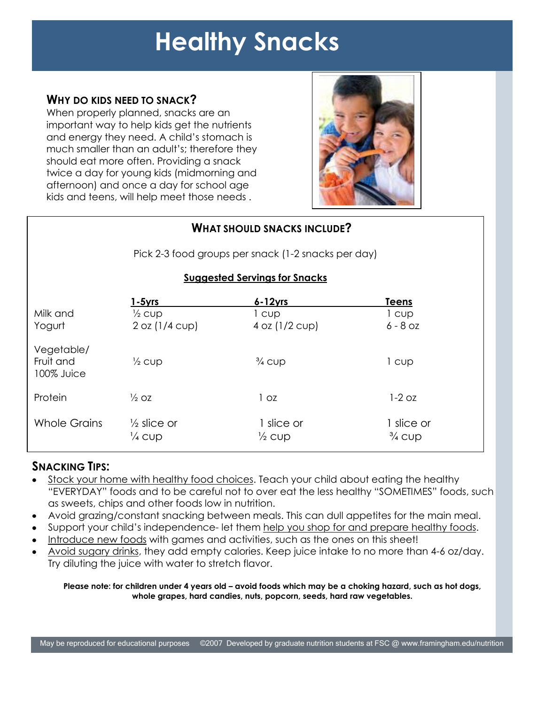# **Healthy Snacks**

## **WHY DO KIDS NEED TO SNACK?**

When properly planned, snacks are an important way to help kids get the nutrients and energy they need. A child's stomach is much smaller than an adult's; therefore they should eat more often. Providing a snack twice a day for young kids (midmorning and afternoon) and once a day for school age kids and teens, will help meet those needs .



| <b>WHAT SHOULD SNACKS INCLUDE?</b><br>Pick 2-3 food groups per snack (1-2 snacks per day)<br><b>Suggested Servings for Snacks</b> |                                             |                                 |                                 |          |                   |              |       |
|-----------------------------------------------------------------------------------------------------------------------------------|---------------------------------------------|---------------------------------|---------------------------------|----------|-------------------|--------------|-------|
|                                                                                                                                   |                                             |                                 |                                 |          | 1-5yrs            | $6 - 12$ yrs | Teens |
|                                                                                                                                   |                                             |                                 |                                 | Milk and | $\frac{1}{2}$ cup | l cup        | 1 cup |
| Yogurt                                                                                                                            | 2 oz (1/4 cup)                              | $4$ oz $(1/2$ cup)              | $6 - 8$ OZ                      |          |                   |              |       |
| Vegetable/<br>Fruit and<br>100% Juice                                                                                             | $\frac{1}{2}$ cup                           | $\frac{3}{4}$ CUD               | l cup                           |          |                   |              |       |
| Protein                                                                                                                           | $\frac{1}{2}$ OZ                            | 1 <sub>oz</sub>                 | $1-2$ oz                        |          |                   |              |       |
| <b>Whole Grains</b>                                                                                                               | $\frac{1}{2}$ slice or<br>$\frac{1}{4}$ CUD | 1 slice or<br>$\frac{1}{2}$ cup | 1 slice or<br>$\frac{3}{4}$ CUD |          |                   |              |       |

## **SNACKING TIPS:**

- Stock your home with healthy food choices. Teach your child about eating the healthy "EVERYDAY" foods and to be careful not to over eat the less healthy "SOMETIMES" foods, such as sweets, chips and other foods low in nutrition.
- Avoid grazing/constant snacking between meals. This can dull appetites for the main meal.
- Support your child's independence- let them help you shop for and prepare healthy foods.
- Introduce new foods with games and activities, such as the ones on this sheet!
- Avoid sugary drinks, they add empty calories. Keep juice intake to no more than 4-6 oz/day. Try diluting the juice with water to stretch flavor.

**Please note: for children under 4 years old – avoid foods which may be a choking hazard, such as hot dogs, whole grapes, hard candies, nuts, popcorn, seeds, hard raw vegetables.**